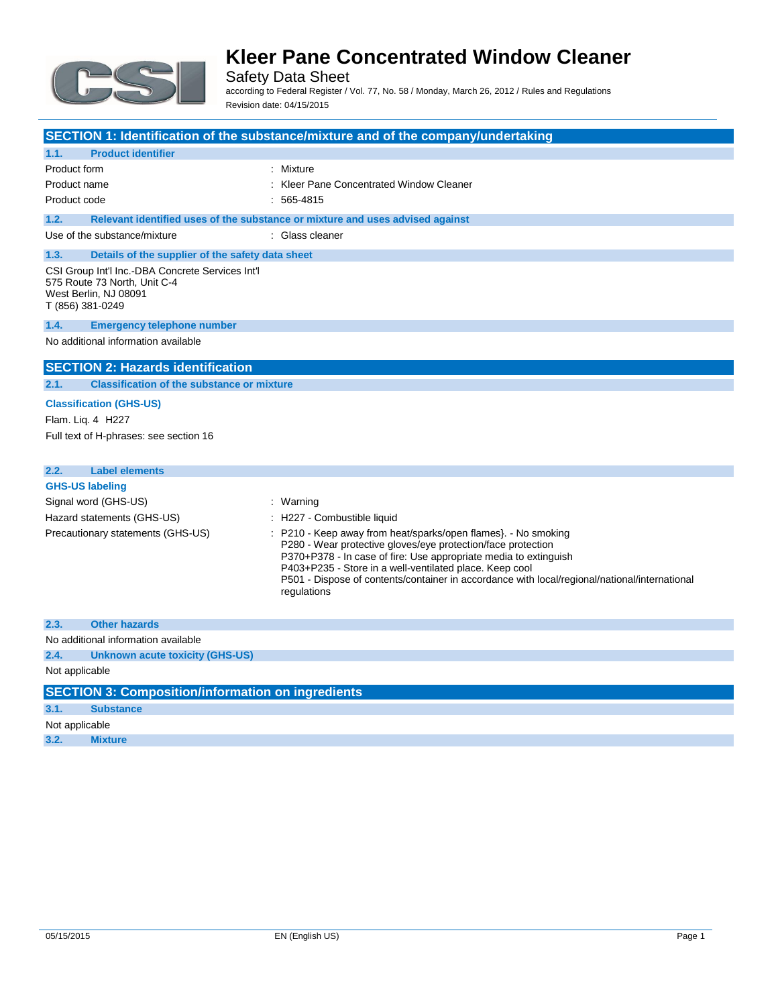

Safety Data Sheet according to Federal Register / Vol. 77, No. 58 / Monday, March 26, 2012 / Rules and Regulations Revision date: 04/15/2015

|                                                                                                                               | SECTION 1: Identification of the substance/mixture and of the company/undertaking                                                                                                                                                                                                                                                                                           |
|-------------------------------------------------------------------------------------------------------------------------------|-----------------------------------------------------------------------------------------------------------------------------------------------------------------------------------------------------------------------------------------------------------------------------------------------------------------------------------------------------------------------------|
| 1.1.<br><b>Product identifier</b>                                                                                             |                                                                                                                                                                                                                                                                                                                                                                             |
| <b>Product form</b><br>Product name                                                                                           | : Mixture<br>Kleer Pane Concentrated Window Cleaner                                                                                                                                                                                                                                                                                                                         |
| Product code                                                                                                                  | $: 565 - 4815$                                                                                                                                                                                                                                                                                                                                                              |
| 1.2.                                                                                                                          | Relevant identified uses of the substance or mixture and uses advised against                                                                                                                                                                                                                                                                                               |
| Use of the substance/mixture                                                                                                  | : Glass cleaner                                                                                                                                                                                                                                                                                                                                                             |
| 1.3.<br>Details of the supplier of the safety data sheet                                                                      |                                                                                                                                                                                                                                                                                                                                                                             |
| CSI Group Int'l Inc.-DBA Concrete Services Int'l<br>575 Route 73 North, Unit C-4<br>West Berlin, NJ 08091<br>T (856) 381-0249 |                                                                                                                                                                                                                                                                                                                                                                             |
| 1.4.<br><b>Emergency telephone number</b>                                                                                     |                                                                                                                                                                                                                                                                                                                                                                             |
| No additional information available                                                                                           |                                                                                                                                                                                                                                                                                                                                                                             |
| <b>SECTION 2: Hazards identification</b>                                                                                      |                                                                                                                                                                                                                                                                                                                                                                             |
| 2.1.<br><b>Classification of the substance or mixture</b>                                                                     |                                                                                                                                                                                                                                                                                                                                                                             |
| <b>Classification (GHS-US)</b>                                                                                                |                                                                                                                                                                                                                                                                                                                                                                             |
| Flam. Lig. 4 H227                                                                                                             |                                                                                                                                                                                                                                                                                                                                                                             |
| Full text of H-phrases: see section 16                                                                                        |                                                                                                                                                                                                                                                                                                                                                                             |
|                                                                                                                               |                                                                                                                                                                                                                                                                                                                                                                             |
| <b>Label elements</b><br>2.2.                                                                                                 |                                                                                                                                                                                                                                                                                                                                                                             |
| <b>GHS-US labeling</b>                                                                                                        |                                                                                                                                                                                                                                                                                                                                                                             |
| Signal word (GHS-US)                                                                                                          | : Warning                                                                                                                                                                                                                                                                                                                                                                   |
| Hazard statements (GHS-US)                                                                                                    | : H227 - Combustible liquid                                                                                                                                                                                                                                                                                                                                                 |
| Precautionary statements (GHS-US)                                                                                             | P210 - Keep away from heat/sparks/open flames}. - No smoking<br>P280 - Wear protective gloves/eye protection/face protection<br>P370+P378 - In case of fire: Use appropriate media to extinguish<br>P403+P235 - Store in a well-ventilated place. Keep cool<br>P501 - Dispose of contents/container in accordance with local/regional/national/international<br>regulations |
| 2.3.<br><b>Other hazards</b>                                                                                                  |                                                                                                                                                                                                                                                                                                                                                                             |
| No additional information available                                                                                           |                                                                                                                                                                                                                                                                                                                                                                             |
| 2.4.<br><b>Unknown acute toxicity (GHS-US)</b>                                                                                |                                                                                                                                                                                                                                                                                                                                                                             |
| Not applicable                                                                                                                |                                                                                                                                                                                                                                                                                                                                                                             |
| <b>SECTION 3: Composition/information on ingredients</b>                                                                      |                                                                                                                                                                                                                                                                                                                                                                             |
| 3.1.<br><b>Substance</b>                                                                                                      |                                                                                                                                                                                                                                                                                                                                                                             |
| Not applicable                                                                                                                |                                                                                                                                                                                                                                                                                                                                                                             |

**3.2. Mixture**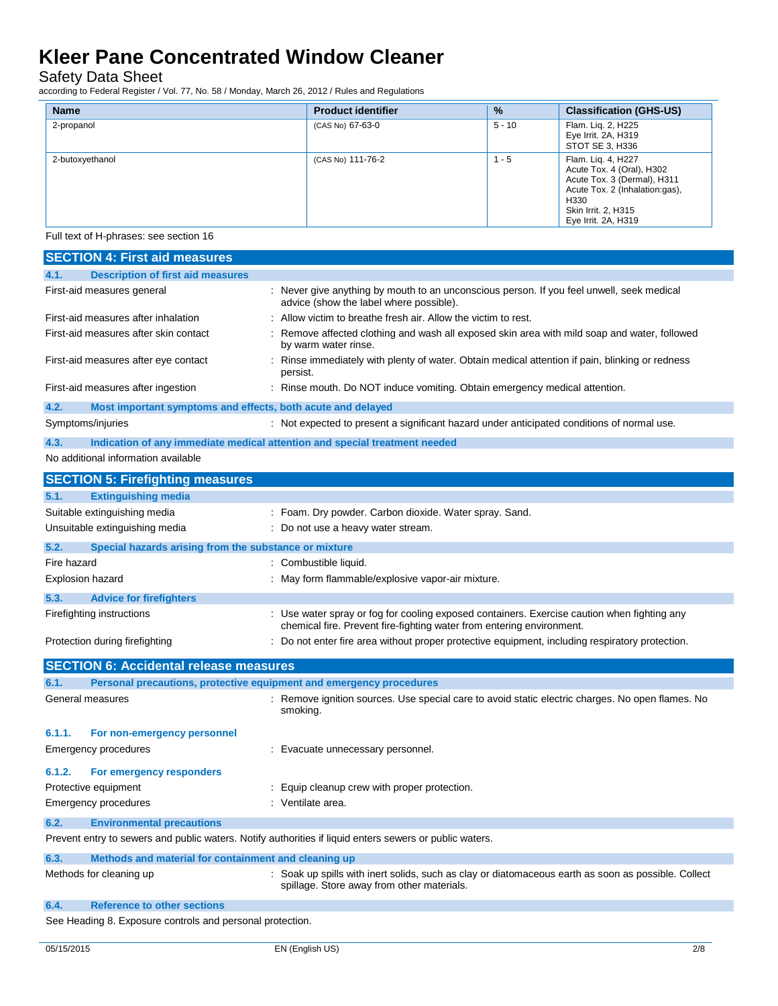Safety Data Sheet

according to Federal Register / Vol. 77, No. 58 / Monday, March 26, 2012 / Rules and Regulations

| <b>Name</b>     | <b>Product identifier</b> | $\frac{9}{6}$ | <b>Classification (GHS-US)</b>                                                                                                                                         |
|-----------------|---------------------------|---------------|------------------------------------------------------------------------------------------------------------------------------------------------------------------------|
| 2-propanol      | (CAS No) 67-63-0          | $5 - 10$      | Flam. Lig. 2, H225<br>Eye Irrit. 2A, H319<br>STOT SE 3, H336                                                                                                           |
| 2-butoxyethanol | (CAS No) 111-76-2         | $1 - 5$       | Flam. Liq. 4, H227<br>Acute Tox. 4 (Oral), H302<br>Acute Tox. 3 (Dermal), H311<br>Acute Tox. 2 (Inhalation:gas),<br>H330<br>Skin Irrit. 2, H315<br>Eye Irrit. 2A, H319 |

Full text of H-phrases: see section 16

| <b>SECTION 4: First aid measures</b>                                        |                                                                                                                                                                      |
|-----------------------------------------------------------------------------|----------------------------------------------------------------------------------------------------------------------------------------------------------------------|
| <b>Description of first aid measures</b><br>4.1.                            |                                                                                                                                                                      |
| First-aid measures general                                                  | : Never give anything by mouth to an unconscious person. If you feel unwell, seek medical<br>advice (show the label where possible).                                 |
| First-aid measures after inhalation                                         | Allow victim to breathe fresh air. Allow the victim to rest.                                                                                                         |
| First-aid measures after skin contact                                       | Remove affected clothing and wash all exposed skin area with mild soap and water, followed<br>by warm water rinse.                                                   |
| First-aid measures after eye contact                                        | Rinse immediately with plenty of water. Obtain medical attention if pain, blinking or redness<br>persist.                                                            |
| First-aid measures after ingestion                                          | : Rinse mouth. Do NOT induce vomiting. Obtain emergency medical attention.                                                                                           |
| 4.2.<br>Most important symptoms and effects, both acute and delayed         |                                                                                                                                                                      |
| Symptoms/injuries                                                           | : Not expected to present a significant hazard under anticipated conditions of normal use.                                                                           |
| 4.3.                                                                        | Indication of any immediate medical attention and special treatment needed                                                                                           |
| No additional information available                                         |                                                                                                                                                                      |
| <b>SECTION 5: Firefighting measures</b>                                     |                                                                                                                                                                      |
| 5.1.<br><b>Extinguishing media</b>                                          |                                                                                                                                                                      |
| Suitable extinguishing media                                                | : Foam. Dry powder. Carbon dioxide. Water spray. Sand.                                                                                                               |
| Unsuitable extinguishing media                                              | Do not use a heavy water stream.                                                                                                                                     |
| 5.2.<br>Special hazards arising from the substance or mixture               |                                                                                                                                                                      |
| Fire hazard                                                                 | : Combustible liquid.                                                                                                                                                |
| <b>Explosion hazard</b>                                                     | : May form flammable/explosive vapor-air mixture.                                                                                                                    |
| 5.3.<br><b>Advice for firefighters</b>                                      |                                                                                                                                                                      |
| Firefighting instructions                                                   | : Use water spray or fog for cooling exposed containers. Exercise caution when fighting any<br>chemical fire. Prevent fire-fighting water from entering environment. |
| Protection during firefighting                                              | : Do not enter fire area without proper protective equipment, including respiratory protection.                                                                      |
| <b>SECTION 6: Accidental release measures</b>                               |                                                                                                                                                                      |
| Personal precautions, protective equipment and emergency procedures<br>6.1. |                                                                                                                                                                      |
| General measures                                                            | : Remove ignition sources. Use special care to avoid static electric charges. No open flames. No<br>smoking.                                                         |
| 6.1.1.<br>For non-emergency personnel                                       |                                                                                                                                                                      |
| Emergency procedures                                                        | : Evacuate unnecessary personnel.                                                                                                                                    |
| 6.1.2.<br>For emergency responders                                          |                                                                                                                                                                      |
| Protective equipment                                                        | Equip cleanup crew with proper protection.                                                                                                                           |
| <b>Emergency procedures</b>                                                 | : Ventilate area.                                                                                                                                                    |
| 6.2.<br><b>Environmental precautions</b>                                    |                                                                                                                                                                      |
|                                                                             | Prevent entry to sewers and public waters. Notify authorities if liquid enters sewers or public waters.                                                              |
| 6.3.<br>Methods and material for containment and cleaning up                |                                                                                                                                                                      |
| Methods for cleaning up                                                     | : Soak up spills with inert solids, such as clay or diatomaceous earth as soon as possible. Collect<br>spillage. Store away from other materials.                    |
| <b>Reference to other sections</b><br>6.4.                                  |                                                                                                                                                                      |

See Heading 8. Exposure controls and personal protection.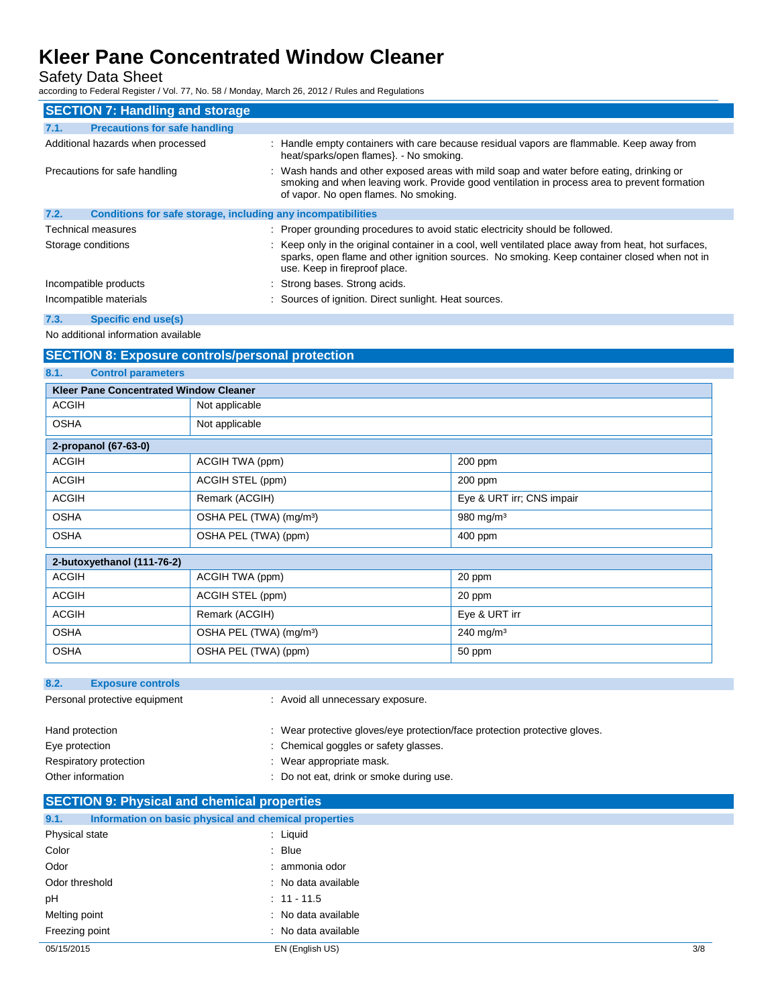Safety Data Sheet

according to Federal Register / Vol. 77, No. 58 / Monday, March 26, 2012 / Rules and Regulations

| <b>SECTION 7: Handling and storage</b>                               |                                                                                                                                                                                                                                       |
|----------------------------------------------------------------------|---------------------------------------------------------------------------------------------------------------------------------------------------------------------------------------------------------------------------------------|
| <b>Precautions for safe handling</b><br>7.1.                         |                                                                                                                                                                                                                                       |
| Additional hazards when processed                                    | : Handle empty containers with care because residual vapors are flammable. Keep away from<br>heat/sparks/open flames}. - No smoking.                                                                                                  |
| Precautions for safe handling                                        | : Wash hands and other exposed areas with mild soap and water before eating, drinking or<br>smoking and when leaving work. Provide good ventilation in process area to prevent formation<br>of vapor. No open flames. No smoking.     |
| 7.2.<br>Conditions for safe storage, including any incompatibilities |                                                                                                                                                                                                                                       |
| Technical measures                                                   | : Proper grounding procedures to avoid static electricity should be followed.                                                                                                                                                         |
| Storage conditions                                                   | : Keep only in the original container in a cool, well ventilated place away from heat, hot surfaces,<br>sparks, open flame and other ignition sources. No smoking. Keep container closed when not in<br>use. Keep in fireproof place. |
| Incompatible products                                                | : Strong bases. Strong acids.                                                                                                                                                                                                         |
| Incompatible materials                                               | : Sources of ignition. Direct sunlight. Heat sources.                                                                                                                                                                                 |
| 7.3.<br>Specific end use(s)                                          |                                                                                                                                                                                                                                       |

No additional information available

## **SECTION 8: Exposure controls/personal protection**

**8.1. Control parameters**

| <b>Kleer Pane Concentrated Window Cleaner</b> |                                     |                           |  |  |
|-----------------------------------------------|-------------------------------------|---------------------------|--|--|
| <b>ACGIH</b>                                  | Not applicable                      |                           |  |  |
| <b>OSHA</b>                                   | Not applicable                      |                           |  |  |
| 2-propanol (67-63-0)                          |                                     |                           |  |  |
| <b>ACGIH</b>                                  | ACGIH TWA (ppm)                     | $200$ ppm                 |  |  |
| <b>ACGIH</b>                                  | ACGIH STEL (ppm)                    | $200$ ppm                 |  |  |
| <b>ACGIH</b>                                  | Remark (ACGIH)                      | Eye & URT irr; CNS impair |  |  |
| <b>OSHA</b>                                   | OSHA PEL (TWA) (mg/m <sup>3</sup> ) | 980 mg/m $3$              |  |  |
| <b>OSHA</b>                                   | OSHA PEL (TWA) (ppm)                | 400 ppm                   |  |  |

| 2-butoxyethanol (111-76-2) |                                     |                         |  |
|----------------------------|-------------------------------------|-------------------------|--|
| <b>ACGIH</b>               | ACGIH TWA (ppm)                     | 20 ppm                  |  |
| <b>ACGIH</b>               | ACGIH STEL (ppm)                    | 20 ppm                  |  |
| <b>ACGIH</b>               | Remark (ACGIH)                      | Eye & URT irr           |  |
| <b>OSHA</b>                | OSHA PEL (TWA) (mg/m <sup>3</sup> ) | $240 \,\mathrm{mg/m^3}$ |  |
| <b>OSHA</b>                | OSHA PEL (TWA) (ppm)                | 50 ppm                  |  |

| 8.2.<br><b>Exposure controls</b>            |                                                                                                                     |
|---------------------------------------------|---------------------------------------------------------------------------------------------------------------------|
| Personal protective equipment               | : Avoid all unnecessary exposure.                                                                                   |
| Hand protection<br>Eye protection           | : Wear protective gloves/eye protection/face protection protective gloves.<br>: Chemical goggles or safety glasses. |
| Respiratory protection<br>Other information | : Wear appropriate mask.<br>: Do not eat, drink or smoke during use.                                                |
|                                             |                                                                                                                     |

## **SECTION 9: Physical and chemical properties**

| 9.1.           | Information on basic physical and chemical properties |     |
|----------------|-------------------------------------------------------|-----|
| Physical state | : Liquid                                              |     |
| Color          | $:$ Blue                                              |     |
| Odor           | : ammonia odor                                        |     |
| Odor threshold | : No data available                                   |     |
| pH             | $: 11 - 11.5$                                         |     |
| Melting point  | : No data available                                   |     |
| Freezing point | : No data available                                   |     |
| 05/15/2015     | EN (English US)                                       | 3/8 |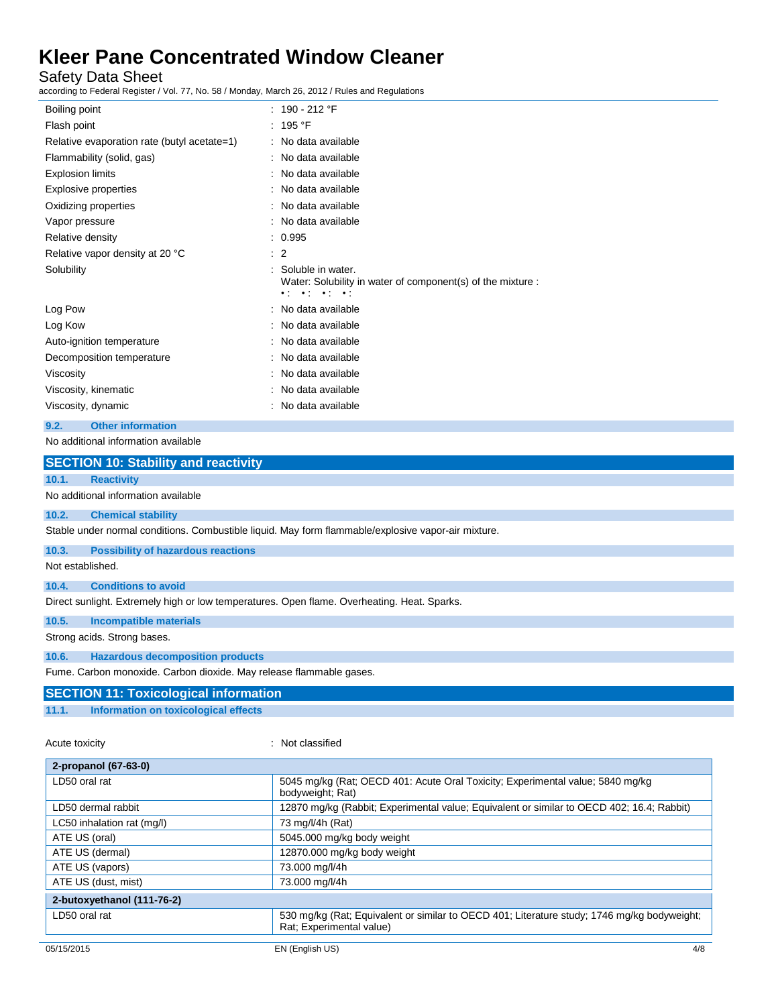Safety Data Sheet

according to Federal Register / Vol. 77, No. 58 / Monday, March 26, 2012 / Rules and Regulations

| Boiling point                               | : $190 - 212$ °F                                                                                                                    |
|---------------------------------------------|-------------------------------------------------------------------------------------------------------------------------------------|
| Flash point                                 | : 195 °F                                                                                                                            |
| Relative evaporation rate (butyl acetate=1) | : No data available                                                                                                                 |
| Flammability (solid, gas)                   | : No data available                                                                                                                 |
| <b>Explosion limits</b>                     | : No data available                                                                                                                 |
| Explosive properties                        | No data available                                                                                                                   |
| Oxidizing properties                        | : No data available                                                                                                                 |
| Vapor pressure                              | : No data available                                                                                                                 |
| Relative density                            | : 0.995                                                                                                                             |
| Relative vapor density at 20 °C             | $\therefore$ 2                                                                                                                      |
| Solubility                                  | Soluble in water.<br>Water: Solubility in water of component(s) of the mixture :<br>$\bullet$ ( $\bullet$ ) $\bullet$ ( $\bullet$ ) |
| Log Pow                                     | : No data available                                                                                                                 |
| Log Kow                                     | : No data available                                                                                                                 |
| Auto-ignition temperature                   | No data available                                                                                                                   |
| Decomposition temperature                   | No data available                                                                                                                   |
| Viscosity                                   | No data available                                                                                                                   |
| Viscosity, kinematic                        | : No data available                                                                                                                 |
| Viscosity, dynamic                          | : No data available                                                                                                                 |
| <b>Other information</b><br>9.2.            |                                                                                                                                     |

| No additional information available                                                                 |  |
|-----------------------------------------------------------------------------------------------------|--|
| <b>SECTION 10: Stability and reactivity</b>                                                         |  |
| <b>Reactivity</b><br>10.1.                                                                          |  |
| No additional information available                                                                 |  |
| <b>Chemical stability</b><br>10.2.                                                                  |  |
| Stable under normal conditions. Combustible liquid. May form flammable/explosive vapor-air mixture. |  |
| <b>Possibility of hazardous reactions</b><br>10.3.                                                  |  |
| Not established.                                                                                    |  |
| <b>Conditions to avoid</b><br>10.4.                                                                 |  |
| Direct sunlight. Extremely high or low temperatures. Open flame. Overheating. Heat. Sparks.         |  |
| 10.5.<br><b>Incompatible materials</b>                                                              |  |
| Strong acids. Strong bases.                                                                         |  |
| <b>Hazardous decomposition products</b><br>10.6.                                                    |  |
| Fume. Carbon monoxide. Carbon dioxide. May release flammable gases.                                 |  |
| <b>SECTION 11: Toxicological information</b>                                                        |  |
|                                                                                                     |  |

**11.1. Information on toxicological effects**

### Acute toxicity **in the case of the contract of the contract of the contract of the contract of the contract of the contract of the contract of the contract of the contract of the contract of the contract of the contract of**

| 2-propanol (67-63-0)       |                                                                                                                         |
|----------------------------|-------------------------------------------------------------------------------------------------------------------------|
| LD50 oral rat              | 5045 mg/kg (Rat; OECD 401: Acute Oral Toxicity; Experimental value; 5840 mg/kg<br>bodyweight; Rat)                      |
| LD50 dermal rabbit         | 12870 mg/kg (Rabbit; Experimental value; Equivalent or similar to OECD 402; 16.4; Rabbit)                               |
| LC50 inhalation rat (mg/l) | 73 mg/l/4h (Rat)                                                                                                        |
| ATE US (oral)              | 5045.000 mg/kg body weight                                                                                              |
| ATE US (dermal)            | 12870.000 mg/kg body weight                                                                                             |
| ATE US (vapors)            | 73.000 mg/l/4h                                                                                                          |
| ATE US (dust, mist)        | 73.000 mg/l/4h                                                                                                          |
| 2-butoxyethanol (111-76-2) |                                                                                                                         |
| LD50 oral rat              | 530 mg/kg (Rat; Equivalent or similar to OECD 401; Literature study; 1746 mg/kg bodyweight;<br>Rat; Experimental value) |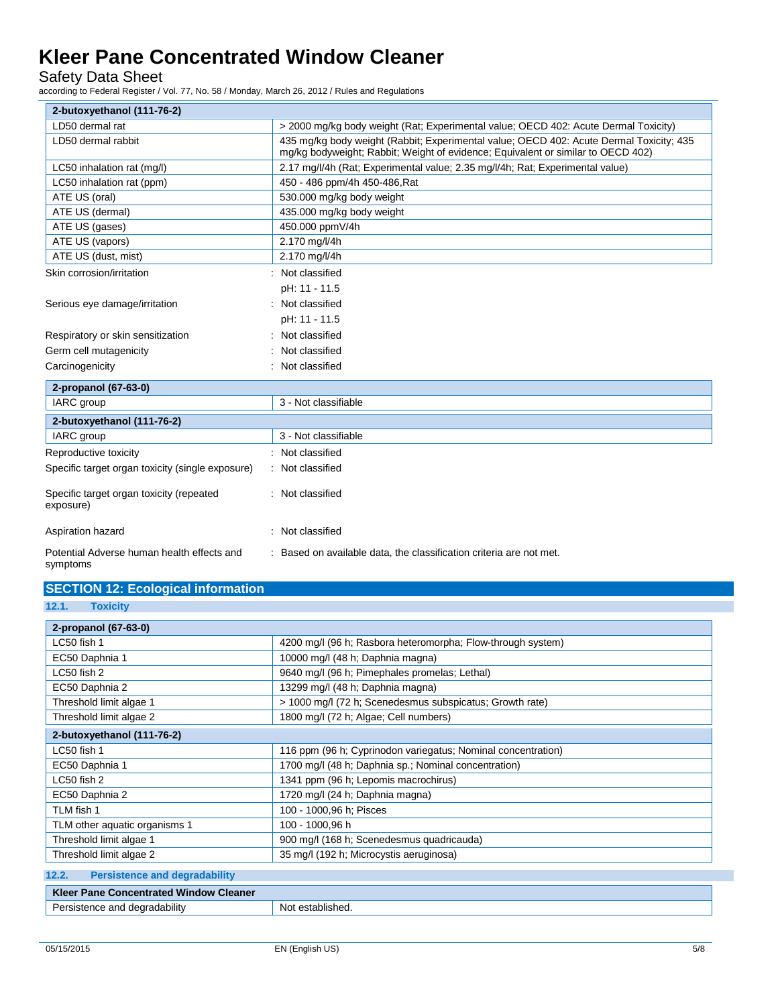Safety Data Sheet

according to Federal Register / Vol. 77, No. 58 / Monday, March 26, 2012 / Rules and Regulations

| 2-butoxyethanol (111-76-2)                             |                                                                                                                                                                             |
|--------------------------------------------------------|-----------------------------------------------------------------------------------------------------------------------------------------------------------------------------|
| LD50 dermal rat                                        | > 2000 mg/kg body weight (Rat; Experimental value; OECD 402: Acute Dermal Toxicity)                                                                                         |
| LD50 dermal rabbit                                     | 435 mg/kg body weight (Rabbit; Experimental value; OECD 402: Acute Dermal Toxicity; 435<br>mg/kg bodyweight; Rabbit; Weight of evidence; Equivalent or similar to OECD 402) |
| LC50 inhalation rat (mg/l)                             | 2.17 mg/l/4h (Rat; Experimental value; 2.35 mg/l/4h; Rat; Experimental value)                                                                                               |
| LC50 inhalation rat (ppm)                              | 450 - 486 ppm/4h 450-486, Rat                                                                                                                                               |
| ATE US (oral)                                          | 530.000 mg/kg body weight                                                                                                                                                   |
| ATE US (dermal)                                        | 435.000 mg/kg body weight                                                                                                                                                   |
| ATE US (gases)                                         | 450.000 ppmV/4h                                                                                                                                                             |
| ATE US (vapors)                                        | 2.170 mg/l/4h                                                                                                                                                               |
| ATE US (dust, mist)                                    | 2.170 mg/l/4h                                                                                                                                                               |
| Skin corrosion/irritation                              | Not classified                                                                                                                                                              |
|                                                        | pH: 11 - 11.5                                                                                                                                                               |
| Serious eye damage/irritation                          | : Not classified                                                                                                                                                            |
|                                                        | pH: 11 - 11.5                                                                                                                                                               |
| Respiratory or skin sensitization                      | Not classified                                                                                                                                                              |
| Germ cell mutagenicity                                 | Not classified                                                                                                                                                              |
| Carcinogenicity                                        | Not classified                                                                                                                                                              |
| 2-propanol (67-63-0)                                   |                                                                                                                                                                             |
| <b>IARC</b> group                                      | 3 - Not classifiable                                                                                                                                                        |
| 2-butoxyethanol (111-76-2)                             |                                                                                                                                                                             |
| <b>IARC</b> group                                      | 3 - Not classifiable                                                                                                                                                        |
| Reproductive toxicity                                  | : Not classified                                                                                                                                                            |
| Specific target organ toxicity (single exposure)       | : Not classified                                                                                                                                                            |
| Specific target organ toxicity (repeated<br>exposure)  | : Not classified                                                                                                                                                            |
| Aspiration hazard                                      | : Not classified                                                                                                                                                            |
| Potential Adverse human health effects and<br>symptoms | : Based on available data, the classification criteria are not met.                                                                                                         |

## **SECTION 12: Ecological information**

**12.1. Toxicity**

| 2-propanol (67-63-0)                                         |                                                              |  |
|--------------------------------------------------------------|--------------------------------------------------------------|--|
| LC50 fish 1                                                  | 4200 mg/l (96 h; Rasbora heteromorpha; Flow-through system)  |  |
| EC50 Daphnia 1                                               | 10000 mg/l (48 h; Daphnia magna)                             |  |
| LC50 fish 2<br>9640 mg/l (96 h; Pimephales promelas; Lethal) |                                                              |  |
| EC50 Daphnia 2                                               | 13299 mg/l (48 h; Daphnia magna)                             |  |
| Threshold limit algae 1                                      | > 1000 mg/l (72 h; Scenedesmus subspicatus; Growth rate)     |  |
| Threshold limit algae 2                                      | 1800 mg/l (72 h; Algae; Cell numbers)                        |  |
| 2-butoxyethanol (111-76-2)                                   |                                                              |  |
| LC50 fish 1                                                  | 116 ppm (96 h; Cyprinodon variegatus; Nominal concentration) |  |
| EC50 Daphnia 1                                               | 1700 mg/l (48 h; Daphnia sp.; Nominal concentration)         |  |
| LC50 fish 2                                                  | 1341 ppm (96 h; Lepomis macrochirus)                         |  |
| EC50 Daphnia 2                                               | 1720 mg/l (24 h; Daphnia magna)                              |  |
| TLM fish 1                                                   | 100 - 1000,96 h; Pisces                                      |  |
| TLM other aquatic organisms 1                                | 100 - 1000,96 h                                              |  |
| Threshold limit algae 1                                      | 900 mg/l (168 h; Scenedesmus quadricauda)                    |  |
| Threshold limit algae 2                                      | 35 mg/l (192 h; Microcystis aeruginosa)                      |  |
| 12.2.<br><b>Persistence and degradability</b>                |                                                              |  |

| <b>Klet</b><br><b>Concentrated Window Cleaner</b><br>Pane |          |  |
|-----------------------------------------------------------|----------|--|
| degradability                                             | stablish |  |
| ⊶no∼                                                      | Not      |  |
| . н. е                                                    | $\sim$   |  |
| יהור                                                      | icu      |  |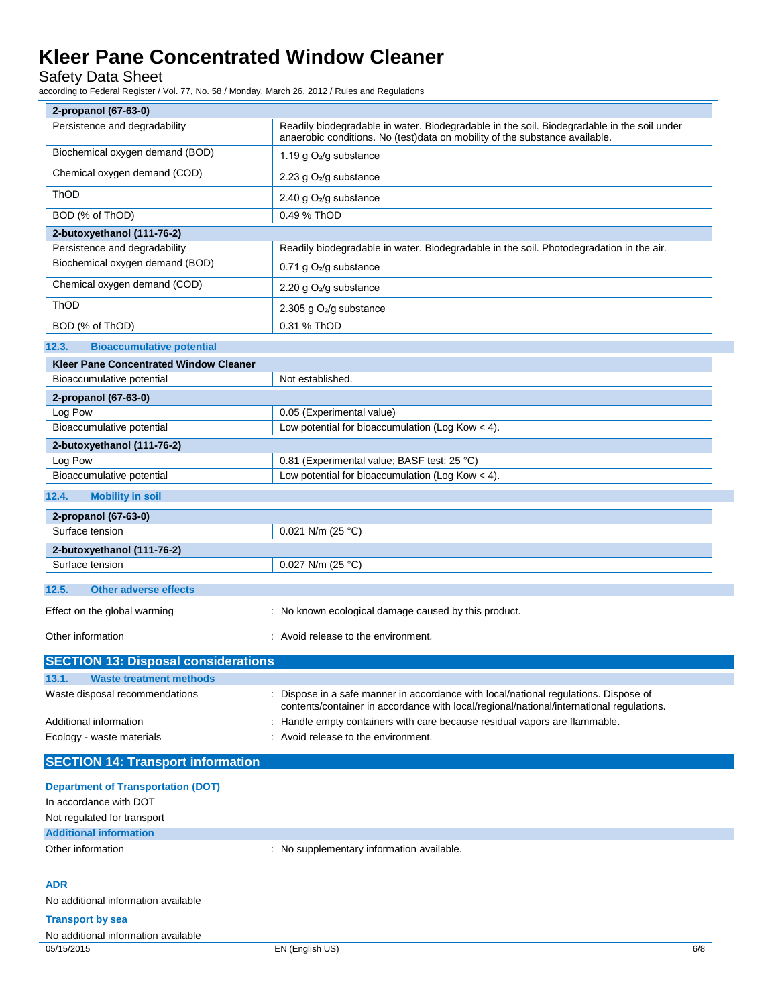Safety Data Sheet

according to Federal Register / Vol. 77, No. 58 / Monday, March 26, 2012 / Rules and Regulations

| 2-propanol (67-63-0)                          |                                                                                                                                                                           |  |
|-----------------------------------------------|---------------------------------------------------------------------------------------------------------------------------------------------------------------------------|--|
| Persistence and degradability                 | Readily biodegradable in water. Biodegradable in the soil. Biodegradable in the soil under<br>anaerobic conditions. No (test)data on mobility of the substance available. |  |
| Biochemical oxygen demand (BOD)               | 1.19 g $O_2$ /g substance                                                                                                                                                 |  |
| Chemical oxygen demand (COD)                  | 2.23 g $O_2$ /g substance                                                                                                                                                 |  |
| <b>ThOD</b>                                   | 2.40 g $O_2$ /g substance                                                                                                                                                 |  |
| BOD (% of ThOD)                               | 0.49 % ThOD                                                                                                                                                               |  |
| 2-butoxyethanol (111-76-2)                    |                                                                                                                                                                           |  |
| Persistence and degradability                 | Readily biodegradable in water. Biodegradable in the soil. Photodegradation in the air.                                                                                   |  |
| Biochemical oxygen demand (BOD)               | 0.71 g O <sub>2</sub> /g substance                                                                                                                                        |  |
| Chemical oxygen demand (COD)                  | 2.20 g O <sub>2</sub> /g substance                                                                                                                                        |  |
| <b>ThOD</b>                                   | 2.305 g $O2/g$ substance                                                                                                                                                  |  |
| BOD (% of ThOD)                               | 0.31 % ThOD                                                                                                                                                               |  |
| <b>Bioaccumulative potential</b><br>12.3.     |                                                                                                                                                                           |  |
| <b>Kleer Pane Concentrated Window Cleaner</b> |                                                                                                                                                                           |  |
|                                               |                                                                                                                                                                           |  |

| Bioaccumulative potential                                                       | Not established.                                   |  |
|---------------------------------------------------------------------------------|----------------------------------------------------|--|
| 2-propanol (67-63-0)                                                            |                                                    |  |
| Log Pow                                                                         | 0.05 (Experimental value)                          |  |
| Low potential for bioaccumulation (Log Kow $<$ 4).<br>Bioaccumulative potential |                                                    |  |
| 2-butoxyethanol (111-76-2)                                                      |                                                    |  |
| Log Pow                                                                         | 0.81 (Experimental value; BASF test; 25 °C)        |  |
| Bioaccumulative potential                                                       | Low potential for bioaccumulation (Log Kow $<$ 4). |  |

### **12.4. Mobility in soil**

| 2-propanol (67-63-0)           |                     |  |
|--------------------------------|---------------------|--|
| Surface tension                | $0.021$ N/m (25 °C) |  |
| 2-butoxyethanol (111-76-2)     |                     |  |
| Surface tension                | $0.027$ N/m (25 °C) |  |
|                                |                     |  |
| 12.5.<br>Other adverse effects |                     |  |

|  | ________________________     |                                                      |
|--|------------------------------|------------------------------------------------------|
|  | Effect on the global warming | : No known ecological damage caused by this product. |
|  |                              |                                                      |

Other information **CONFIDENTIAL CONFIDENT** Avoid release to the environment.

| <b>SECTION 13: Disposal considerations</b> |                                                                                                                                                                                  |  |  |
|--------------------------------------------|----------------------------------------------------------------------------------------------------------------------------------------------------------------------------------|--|--|
| <b>Waste treatment methods</b><br>13.1.    |                                                                                                                                                                                  |  |  |
| Waste disposal recommendations             | : Dispose in a safe manner in accordance with local/national regulations. Dispose of<br>contents/container in accordance with local/regional/national/international regulations. |  |  |
| Additional information                     | : Handle empty containers with care because residual vapors are flammable.                                                                                                       |  |  |
| Ecology - waste materials                  | : Avoid release to the environment.                                                                                                                                              |  |  |

### **SECTION 14: Transport information**

| <b>Department of Transportation (DOT)</b> |                                           |     |
|-------------------------------------------|-------------------------------------------|-----|
| In accordance with DOT                    |                                           |     |
| Not regulated for transport               |                                           |     |
| <b>Additional information</b>             |                                           |     |
| Other information                         | : No supplementary information available. |     |
|                                           |                                           |     |
| <b>ADR</b>                                |                                           |     |
| No additional information available       |                                           |     |
| <b>Transport by sea</b>                   |                                           |     |
| No additional information available       |                                           |     |
| 05/15/2015                                | EN (English US)                           | 6/8 |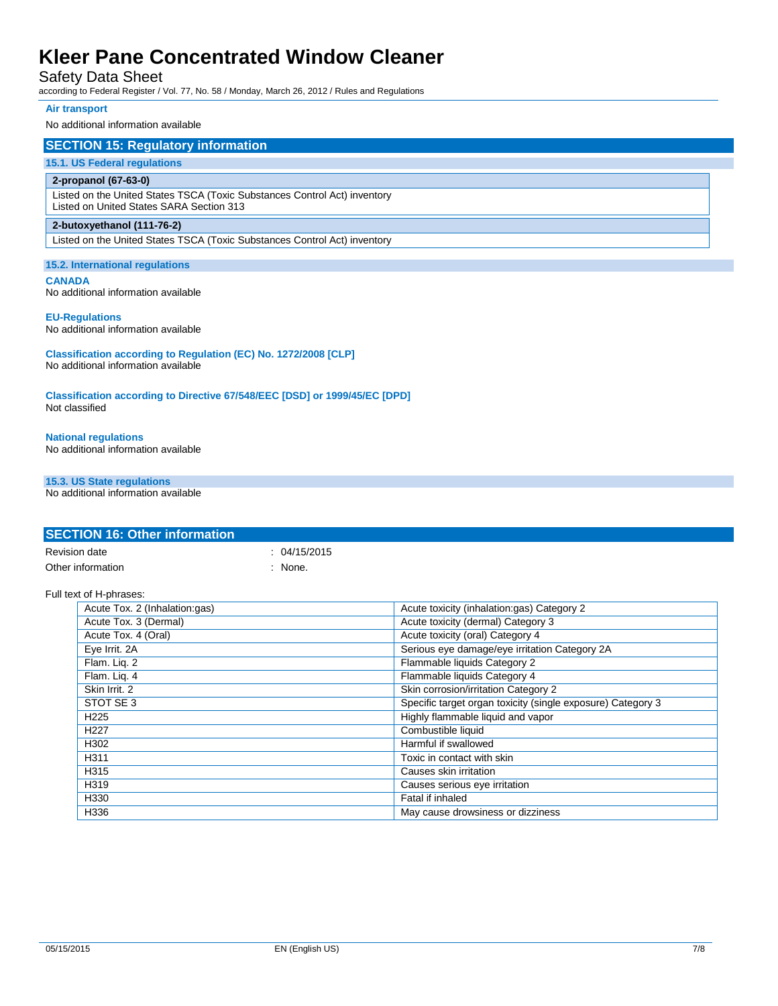### Safety Data Sheet

according to Federal Register / Vol. 77, No. 58 / Monday, March 26, 2012 / Rules and Regulations

### **Air transport**

#### No additional information available

### **SECTION 15: Regulatory information**

### **15.1. US Federal regulations**

### **2-propanol (67-63-0)**

Listed on the United States TSCA (Toxic Substances Control Act) inventory Listed on United States SARA Section 313

#### **2-butoxyethanol (111-76-2)**

Listed on the United States TSCA (Toxic Substances Control Act) inventory

#### **15.2. International regulations**

**CANADA**

No additional information available

#### **EU-Regulations**

No additional information available

**Classification according to Regulation (EC) No. 1272/2008 [CLP]** No additional information available

**Classification according to Directive 67/548/EEC [DSD] or 1999/45/EC [DPD]** Not classified

## **National regulations**

No additional information available

### **15.3. US State regulations**

No additional information available

|                      | <b>SECTION 16: Other information</b> |              |                                                             |
|----------------------|--------------------------------------|--------------|-------------------------------------------------------------|
| <b>Revision date</b> |                                      | : 04/15/2015 |                                                             |
|                      | Other information                    | : None.      |                                                             |
|                      | Full text of H-phrases:              |              |                                                             |
|                      | Acute Tox. 2 (Inhalation:gas)        |              | Acute toxicity (inhalation:gas) Category 2                  |
|                      | Acute Tox. 3 (Dermal)                |              | Acute toxicity (dermal) Category 3                          |
|                      | Acute Tox. 4 (Oral)                  |              | Acute toxicity (oral) Category 4                            |
|                      | Eye Irrit. 2A                        |              | Serious eye damage/eye irritation Category 2A               |
|                      | Flam. Liq. 2                         |              | Flammable liquids Category 2                                |
|                      | Flam. Liq. 4                         |              | Flammable liquids Category 4                                |
|                      | Skin Irrit. 2                        |              | Skin corrosion/irritation Category 2                        |
|                      | STOT SE 3                            |              | Specific target organ toxicity (single exposure) Category 3 |
|                      | H <sub>225</sub>                     |              | Highly flammable liquid and vapor                           |
|                      | H <sub>227</sub>                     |              | Combustible liquid                                          |
|                      | H302                                 |              | Harmful if swallowed                                        |
|                      | H311                                 |              | Toxic in contact with skin                                  |
|                      | H315                                 |              | Causes skin irritation                                      |
|                      | H319                                 |              | Causes serious eye irritation                               |
|                      | H330                                 |              | Fatal if inhaled                                            |
|                      | H336                                 |              | May cause drowsiness or dizziness                           |